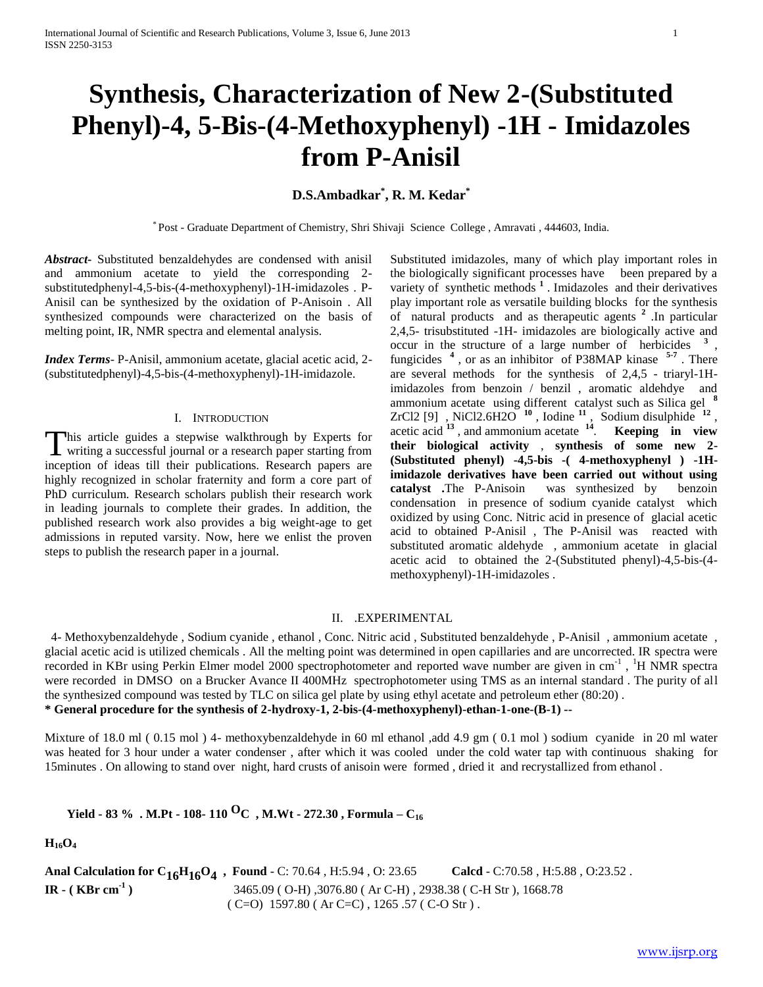# **Synthesis, Characterization of New 2-(Substituted Phenyl)-4, 5-Bis-(4-Methoxyphenyl) -1H - Imidazoles from P-Anisil**

# **D.S.Ambadkar\* , R. M. Kedar\***

\* Post - Graduate Department of Chemistry, Shri Shivaji Science College , Amravati , 444603, India.

*Abstract***-** Substituted benzaldehydes are condensed with anisil and ammonium acetate to yield the corresponding 2 substitutedphenyl-4,5-bis-(4-methoxyphenyl)-1H-imidazoles . P-Anisil can be synthesized by the oxidation of P-Anisoin . All synthesized compounds were characterized on the basis of melting point, IR, NMR spectra and elemental analysis.

*Index Terms*- P-Anisil, ammonium acetate, glacial acetic acid, 2- (substitutedphenyl)-4,5-bis-(4-methoxyphenyl)-1H-imidazole.

#### I. INTRODUCTION

his article guides a stepwise walkthrough by Experts for This article guides a stepwise walkthrough by Experts for writing a successful journal or a research paper starting from inception of ideas till their publications. Research papers are highly recognized in scholar fraternity and form a core part of PhD curriculum. Research scholars publish their research work in leading journals to complete their grades. In addition, the published research work also provides a big weight-age to get admissions in reputed varsity. Now, here we enlist the proven steps to publish the research paper in a journal.

Substituted imidazoles, many of which play important roles in the biologically significant processes have been prepared by a variety of synthetic methods **<sup>1</sup>** . Imidazoles and their derivatives play important role as versatile building blocks for the synthesis of natural products and as therapeutic agents **<sup>2</sup>** .In particular 2,4,5- trisubstituted -1H- imidazoles are biologically active and occur in the structure of a large number of herbicides **<sup>3</sup>** , fungicides **<sup>4</sup>** , or as an inhibitor of P38MAP kinase **5-7** . There are several methods for the synthesis of 2,4,5 - triaryl-1Himidazoles from benzoin / benzil , aromatic aldehdye and ammonium acetate using different catalyst such as Silica gel **<sup>8</sup>** ZrCl2 [9] , NiCl2.6H2O  $10^1$ , Iodine  $11^1$ , Sodium disulphide  $12^1$ , acetic acid **<sup>13</sup>** , and ammonium acetate **<sup>14</sup>** . **Keeping in view their biological activity** , **synthesis of some new 2- (Substituted phenyl) -4,5-bis -( 4-methoxyphenyl ) -1Himidazole derivatives have been carried out without using catalyst .**The P-Anisoin was synthesized by benzoin condensation in presence of sodium cyanide catalyst which oxidized by using Conc. Nitric acid in presence of glacial acetic acid to obtained P-Anisil , The P-Anisil was reacted with substituted aromatic aldehyde , ammonium acetate in glacial acetic acid to obtained the 2-(Substituted phenyl)-4,5-bis-(4 methoxyphenyl)-1H-imidazoles .

## II. .EXPERIMENTAL

 4- Methoxybenzaldehyde , Sodium cyanide , ethanol , Conc. Nitric acid , Substituted benzaldehyde , P-Anisil , ammonium acetate , glacial acetic acid is utilized chemicals . All the melting point was determined in open capillaries and are uncorrected. IR spectra were recorded in KBr using Perkin Elmer model 2000 spectrophotometer and reported wave number are given in cm<sup>-1</sup>, <sup>1</sup>H NMR spectra were recorded in DMSO on a Brucker Avance II 400MHz spectrophotometer using TMS as an internal standard . The purity of all the synthesized compound was tested by TLC on silica gel plate by using ethyl acetate and petroleum ether (80:20) . **\* General procedure for the synthesis of 2-hydroxy-1, 2-bis-(4-methoxyphenyl)-ethan-1-one-(B-1) --**

Mixture of 18.0 ml ( 0.15 mol ) 4- methoxybenzaldehyde in 60 ml ethanol ,add 4.9 gm ( 0.1 mol ) sodium cyanide in 20 ml water was heated for 3 hour under a water condenser , after which it was cooled under the cold water tap with continuous shaking for 15minutes . On allowing to stand over night, hard crusts of anisoin were formed , dried it and recrystallized from ethanol .

 **Yield - 83 % . M.Pt - 108- <sup>110</sup> OC , M.Wt - 272.30 , Formula – <sup>C</sup><sup>16</sup>**

**H16O<sup>4</sup>**

**Anal Calculation for C16H16O4 , Found** - C: 70.64 , H:5.94 , O: 23.65 **Calcd** - C:70.58 , H:5.88 , O:23.52 . **IR - ( KBr cm-1 )** 3465.09 ( O-H) ,3076.80 ( Ar C-H) , 2938.38 ( C-H Str ), 1668.78  $(C=O)$  1597.80 (Ar C=C), 1265.57 (C-O Str).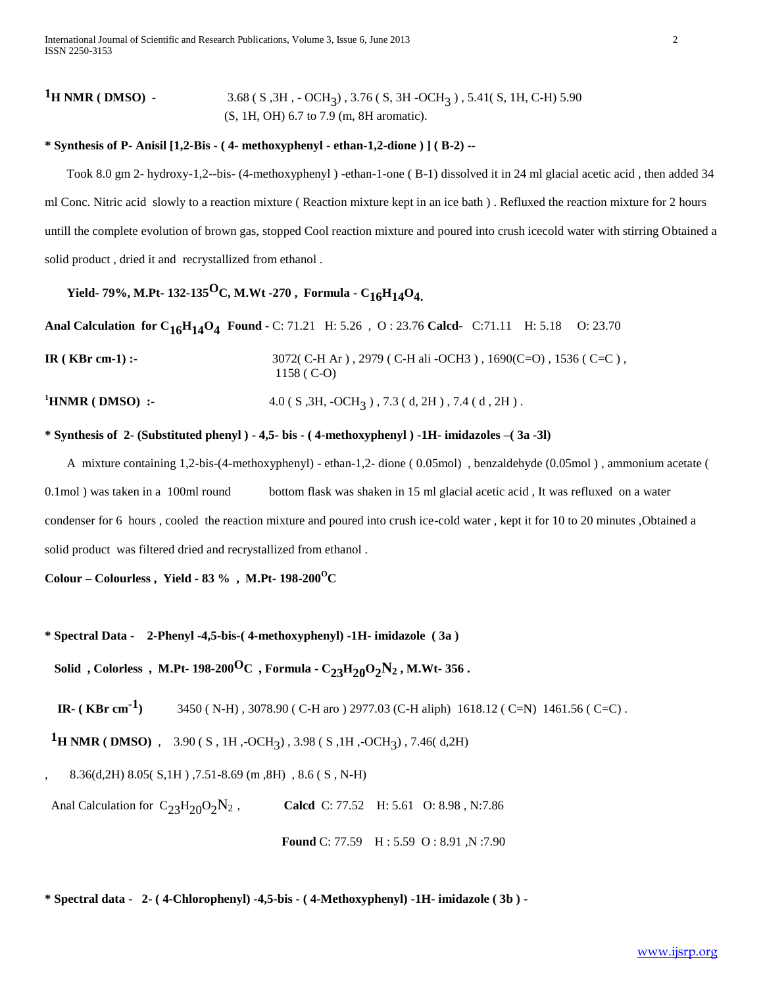#### $1_H$  NMR (DMSO) - $)$  , 3.76 ( S, 3H -OCH<sub>3</sub> ) , 5.41( S, 1H, C-H) 5.90 (S, 1H, OH) 6.7 to 7.9 (m, 8H aromatic).

## **\* Synthesis of P- Anisil [1,2-Bis - ( 4- methoxyphenyl - ethan-1,2-dione ) ] ( B-2) --**

Took 8.0 gm 2- hydroxy-1,2--bis- (4-methoxyphenyl ) -ethan-1-one ( B-1) dissolved it in 24 ml glacial acetic acid , then added 34 ml Conc. Nitric acid slowly to a reaction mixture ( Reaction mixture kept in an ice bath ) . Refluxed the reaction mixture for 2 hours untill the complete evolution of brown gas, stopped Cool reaction mixture and poured into crush icecold water with stirring Obtained a solid product , dried it and recrystallized from ethanol .

# **Yield- 79%, M.Pt- 132-135OC, M.Wt -270 , Formula - C16H14O4.**

**Anal Calculation for C16H14O4 Found -** C: 71.21 H: 5.26 , O : 23.76 **Calcd**- C:71.11 H: 5.18 O: 23.70 **IR ( KBr cm-1) :-** 3072( C-H Ar ), 2979 ( C-H ali -OCH3 ), 1690( C=O), 1536 ( C=C), 1158 ( C-O) <sup>1</sup>**HNMR ( DMSO) :-** 4.0 ( S , 3H, -OCH<sub>3</sub>), 7.3 ( d, 2H), 7.4 ( d, 2H).

## **\* Synthesis of 2- (Substituted phenyl ) - 4,5- bis - ( 4-methoxyphenyl ) -1H- imidazoles –( 3a -3l)**

A mixture containing 1,2-bis-(4-methoxyphenyl) - ethan-1,2- dione ( 0.05mol) , benzaldehyde (0.05mol ) , ammonium acetate ( 0.1mol ) was taken in a 100ml round bottom flask was shaken in 15 ml glacial acetic acid, It was refluxed on a water condenser for 6 hours , cooled the reaction mixture and poured into crush ice-cold water , kept it for 10 to 20 minutes ,Obtained a solid product was filtered dried and recrystallized from ethanol .

 $\text{Colour} - \text{Colourless}$ , Yield - 83 %, M.Pt- 198-200<sup>O</sup>C

**\* Spectral Data - 2-Phenyl -4,5-bis-( 4-methoxyphenyl) -1H- imidazole ( 3a )** 

 **Solid** , Colorless , M.Pt-  $198-200^{\circ}$ C , Formula -  $C_{23}H_{20}O_2N_2$  , M.Wt- 356.

**IR- ( KBr cm-1)** 3450 ( N-H) , 3078.90 ( C-H aro ) 2977.03 (C-H aliph) 1618.12 ( C=N) 1461.56 ( C=C) .

**<sup>1</sup>H NMR (DMSO)**, 3.90 (S, 1H, -OCH<sub>3</sub>), 3.98 (S, 1H, -OCH<sub>3</sub>), 7.46 (d, 2H)

, 8.36(d,2H) 8.05( S,1H ) ,7.51-8.69 (m ,8H) , 8.6 ( S , N-H)

Anal Calculation for  $C_{23}H_{20}O_2N_2$ , **Calci** C: 77.52 H: 5.61 O: 8.98, N:7.86

 **Found** C: 77.59 H : 5.59 O : 8.91 ,N :7.90

**\* Spectral data - 2- ( 4-Chlorophenyl) -4,5-bis - ( 4-Methoxyphenyl) -1H- imidazole ( 3b ) -**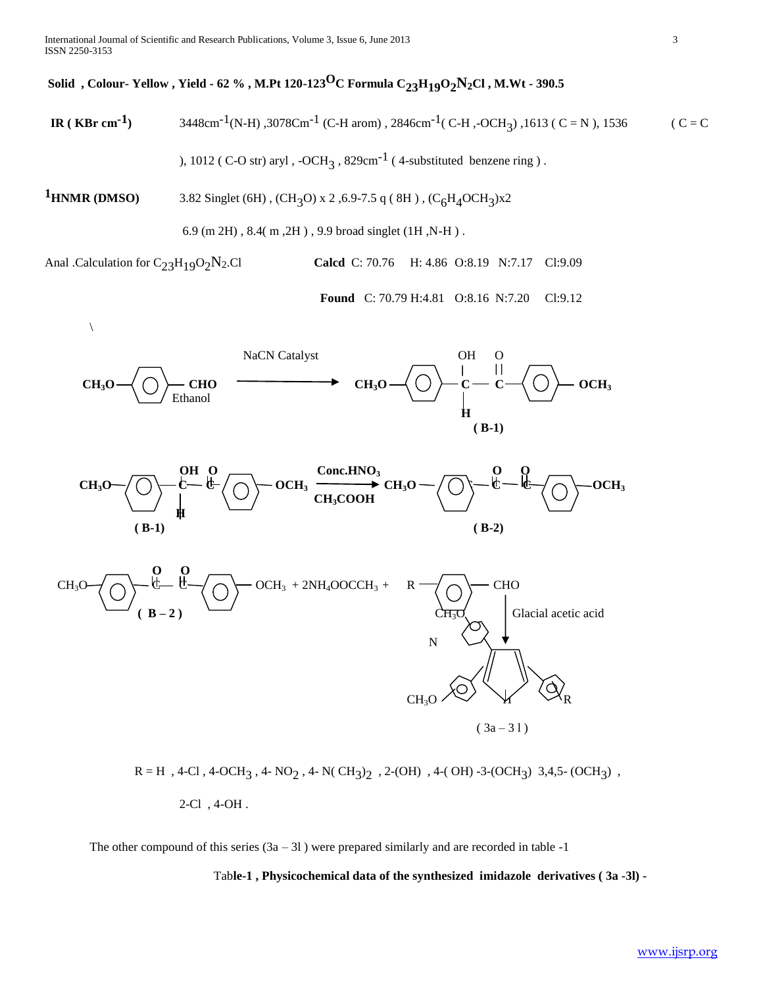# **Solid , Colour- Yellow , Yield - 62 % , M.Pt 120-123OC Formula C23H19O2N2Cl , M.Wt - 390.5**

**IR** (**KBr cm<sup>-1</sup>) 3448cm<sup>-1</sup>(N-H) ,3078Cm<sup>-1</sup> (C-H arom) , 2846cm<sup>-1</sup> (C-H ,-OCH<sub>3</sub>) ,1613 ( C = N ), 1536 ( C = C** 

), 1012 ( C-O str) aryl,  $-OCH_3$ ,  $829cm^{-1}$  (4-substituted benzene ring).

**1HNMR (DMSO)** 3.82 Singlet (6H) , (CH<sub>3</sub>O) x 2 ,6.9-7.5 q (8H) , (C<sub>6</sub>H<sub>4</sub>OCH<sub>3</sub>)x2

6.9 (m 2H) , 8.4( m ,2H ) , 9.9 broad singlet (1H ,N-H ) .

Anal .Calculation for C<sub>23</sub>H<sub>19</sub>O<sub>2</sub>N<sub>2</sub>.Cl **Calcd** C: 70.76 H: 4.86 O:8.19 N:7.17 Cl:9.09

**Found** C: 70.79 H:4.81 O:8.16 N:7.20 Cl:9.12



 $R = H$ , 4-Cl, 4-OCH<sub>3</sub>, 4- NO<sub>2</sub>, 4- N(CH<sub>3</sub>)<sub>2</sub>, 2-(OH), 4-(OH)-3-(OCH<sub>3</sub>) 3,4,5-(OCH<sub>3</sub>), 2-Cl , 4-OH .

The other compound of this series  $(3a - 31)$  were prepared similarly and are recorded in table -1

Tab**le-1 , Physicochemical data of the synthesized imidazole derivatives ( 3a -3l) -**